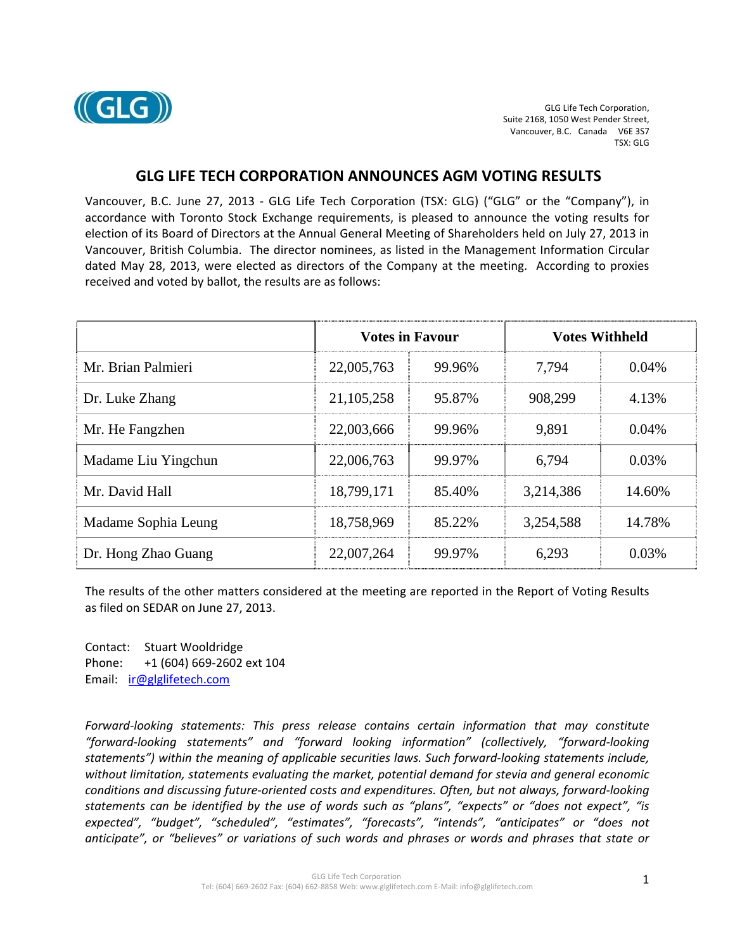

## **GLG LIFE TECH CORPORATION ANNOUNCES AGM VOTING RESULTS**

Vancouver, B.C. June 27, 2013 ‐ GLG Life Tech Corporation (TSX: GLG) ("GLG" or the "Company"), in accordance with Toronto Stock Exchange requirements, is pleased to announce the voting results for election of its Board of Directors at the Annual General Meeting of Shareholders held on July 27, 2013 in Vancouver, British Columbia. The director nominees, as listed in the Management Information Circular dated May 28, 2013, were elected as directors of the Company at the meeting. According to proxies received and voted by ballot, the results are as follows:

|                     | <b>Votes in Favour</b> |        | <b>Votes Withheld</b> |        |
|---------------------|------------------------|--------|-----------------------|--------|
| Mr. Brian Palmieri  | 22,005,763             | 99.96% | 7,794                 | 0.04%  |
| Dr. Luke Zhang      | 21, 105, 258           | 95.87% | 908,299               | 4.13%  |
| Mr. He Fangzhen     | 22,003,666             | 99.96% | 9,891                 | 0.04%  |
| Madame Liu Yingchun | 22,006,763             | 99.97% | 6,794                 | 0.03%  |
| Mr. David Hall      | 18,799,171             | 85.40% | 3,214,386             | 14.60% |
| Madame Sophia Leung | 18,758,969             | 85.22% | 3,254,588             | 14.78% |
| Dr. Hong Zhao Guang | 22,007,264             | 99.97% | 6,293                 | 0.03%  |

The results of the other matters considered at the meeting are reported in the Report of Voting Results as filed on SEDAR on June 27, 2013.

Contact: Stuart Wooldridge Phone: +1 (604) 669‐2602 ext 104 Email: ir@glglifetech.com

*Forward‐looking statements: This press release contains certain information that may constitute "forward‐looking statements" and "forward looking information" (collectively, "forward‐looking statements") within the meaning of applicable securities laws. Such forward‐looking statements include, without limitation, statements evaluating the market, potential demand for stevia and general economic conditions and discussing future‐oriented costs and expenditures. Often, but not always, forward‐looking* statements can be identified by the use of words such as "plans", "expects" or "does not expect", "is *expected", "budget", "scheduled", "estimates", "forecasts", "intends", "anticipates" or "does not anticipate", or "believes" or variations of such words and phrases or words and phrases that state or*